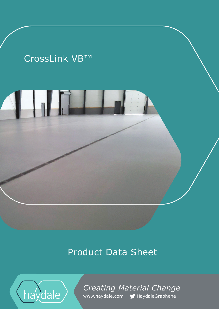# CrossLink VB™

# Product Data Sheet



*Creating Material Change*  www.haydale.com MHaydaleGraphene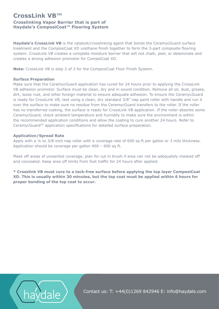# **CrossLink VB™ Crosslinking Vapor Barrier that is part of Haydale's ComposiCoat™ Flooring System**

**Haydale's CrossLink VB** is the catalyst/crosslinking agent that bonds the CeramycGuard surface treatment and the ComposiCoat XD urethane finish together to form the 3-part composite flooring system. CrossLink VB creates a complete moisture barrier that will not chalk, peel, or delaminate and creates a strong adhesion promotor for CompsiCoat XD.

**Note:** CrossLink VB is step 2 of 3 for the ComposiCoat Floor Finish System.

### **Surface Preparation**

Make sure that the CeramycGuard application has cured for 24 hours prior to applying the CrossLink VB adhesion promotor. Surface must be clean, dry and in sound condition. Remove all oil, dust, grease, dirt, loose rust, and other foreign material to ensure adequate adhesion. To ensure the CeramycGuard is ready for CrossLink VB, test using a clean, dry standard 3/8" nap paint roller with handle and run it over the surface to make sure no residue from the CeramycGuard transfers to the roller. If the roller has no transferred coating, the surface is ready for CrossLink VB application. If the roller absorbs some CeramycGuard, check ambient temperature and humidity to make sure the environment is within the recommended application conditions and allow the coating to cure another 24 hours. Refer to CeramycGuard™ application specifications for detailed surface preparation.

### **Application/Spread Rate**

Apply with a ¼ to 3/8-inch nap roller with a coverage rate of 600 sq ft per gallon or 3 mils thickness. Application should be coverage per gallon 400 – 600 sq ft.

Mask off areas of unwanted coverage, plan for cut in brush if area can not be adequately masked off and concealed. Keep area off limits from foot traffic for 24 hours after applied.

**\* Crosslink VB must cure to a tack-free surface before applying the top layer ComposiCoat XD. This is usually within 30 minutes, but the top coat must be applied within 6 hours for proper bonding of the top coat to occur.**



Contact us: T: +44(0)1269 842946 E: info@haydale.com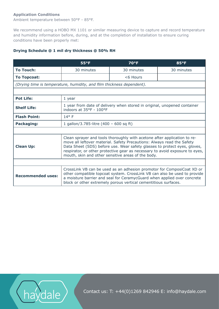## **Application Conditions**

Ambient temperature between 50°F - 85°F.

We recommend using a HOBO MX 1101 or similar measuring device to capture and record temperature and humidity information before, during, and at the completion of installation to ensure curing conditions have been properly met:

## **Drying Schedule @ 1 mil dry thickness @ 50% RH**

|                                                                       | $55^{\circ}F$                                                                                                                                                                                                                                                                                                                                                         | <b>70°F</b> | $85^{\circ}F$ |
|-----------------------------------------------------------------------|-----------------------------------------------------------------------------------------------------------------------------------------------------------------------------------------------------------------------------------------------------------------------------------------------------------------------------------------------------------------------|-------------|---------------|
| <b>To Touch:</b>                                                      | 30 minutes                                                                                                                                                                                                                                                                                                                                                            | 30 minutes  | 30 minutes    |
| <b>To Topcoat:</b>                                                    |                                                                                                                                                                                                                                                                                                                                                                       | $<$ 6 Hours |               |
| (Drying time is temperature, humidity, and film thickness dependent). |                                                                                                                                                                                                                                                                                                                                                                       |             |               |
|                                                                       |                                                                                                                                                                                                                                                                                                                                                                       |             |               |
| <b>Pot Life:</b>                                                      | 1 year                                                                                                                                                                                                                                                                                                                                                                |             |               |
| <b>Shelf Life:</b>                                                    | 1 year from date of delivery when stored in original, unopened container<br>indoors at 35°F - 100°F                                                                                                                                                                                                                                                                   |             |               |
| <b>Flash Point:</b>                                                   | $14^{\circ}$ F                                                                                                                                                                                                                                                                                                                                                        |             |               |
| Packaging:                                                            | 1 gallon/3.785-litre $(400 - 600$ sq ft)                                                                                                                                                                                                                                                                                                                              |             |               |
|                                                                       |                                                                                                                                                                                                                                                                                                                                                                       |             |               |
| <b>Clean Up:</b>                                                      | Clean sprayer and tools thoroughly with acetone after application to re-<br>move all leftover material. Safety Precautions: Always read the Safety<br>Data Sheet (SDS) before use. Wear safety glasses to protect eyes, gloves,<br>respirator, or other protective gear as necessary to avoid exposure to eyes,<br>mouth, skin and other sensitive areas of the body. |             |               |
|                                                                       |                                                                                                                                                                                                                                                                                                                                                                       |             |               |
| <b>Recommended uses:</b>                                              | CrossLink VB can be used as an adhesion promotor for ComposiCoat XD or<br>other compatible topcoat system. CrossLink VB can also be used to provide<br>a moisture barrier and seal for CeramycGuard when applied over concrete<br>block or other extremely porous vertical cementitious surfaces.                                                                     |             |               |



Contact us: T: +44(0)1269 842946 E: info@haydale.com